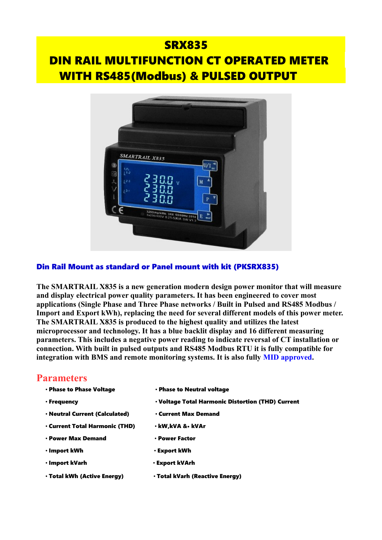# **SRX835**  DIN RAIL MULTIFUNCTION CT OPERATED METER WITH RS485(Modbus) & PULSED OUTPUT



#### Din Rail Mount as standard or Panel mount with kit (PKSRX835)

**The SMARTRAIL X835 is a new generation modern design power monitor that will measure and display electrical power quality parameters. It has been engineered to cover most applications (Single Phase and Three Phase networks / Built in Pulsed and RS485 Modbus / Import and Export kWh), replacing the need for several different models of this power meter. The SMARTRAIL X835 is produced to the highest quality and utilizes the latest microprocessor and technology. It has a blue backlit display and 16 different measuring parameters. This includes a negative power reading to indicate reversal of CT installation or connection. With built in pulsed outputs and RS485 Modbus RTU it is fully compatible for integration with BMS and remote monitoring systems. It is also fully MID approved.**

#### **Parameters**

- 
- Phase to Phase Voltage Phase to Neutral voltage
- Frequency Voltage Total Harmonic Distortion (THD) Current
- Neutral Current (Calculated) Current Max Demand
	-
- Current Total Harmonic (THD) kW,kVA &• kVAr
- Power Max Demand Power Factor
- Import kWh Export kWh
- Import kVarh Export kVArh
	-
- Total kWh (Active Energy) Total kVarh (Reactive Energy)
- 
-